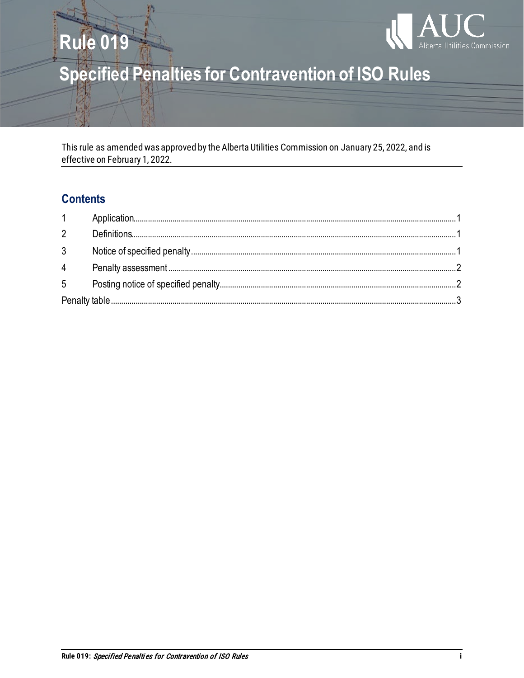

# **Specified Penalties for Contravention of ISO Rules**

This rule as amended was approved by the Alberta Utilities Commission on January 25, 2022, and is effective on February 1, 2022.

# **Contents**

**Rule 019** 

| $\overline{2}$ |  |
|----------------|--|
| 3 <sup>1</sup> |  |
| $\overline{4}$ |  |
| 5 <sup>5</sup> |  |
|                |  |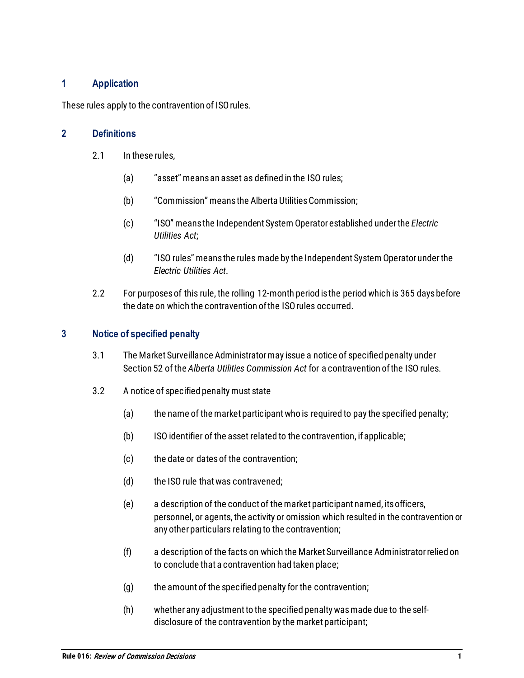# <span id="page-2-0"></span>**1 Application**

<span id="page-2-1"></span>These rules apply to the contravention of ISO rules.

#### **2 Definitions**

- 2.1 In these rules.
	- (a) "asset" means an asset as defined in the ISO rules;
	- (b) "Commission" means the Alberta Utilities Commission;
	- (c) "ISO" means the Independent System Operator established under the *Electric Utilities Act*;
	- (d) "ISO rules" means the rules made by the Independent System Operator under the *Electric Utilities Act*.
- 2.2 For purposes of this rule, the rolling 12-month period is the period which is 365 days before the date on which the contravention of the ISO rules occurred.

#### <span id="page-2-2"></span>**3 Notice of specified penalty**

- 3.1 The Market Surveillance Administrator may issue a notice of specified penalty under Section 52 of the *Alberta Utilities Commission Act* for a contravention of the ISO rules.
- 3.2 A notice of specified penalty must state
	- (a) the name of the market participant who is required to pay the specified penalty;
	- (b) ISO identifier of the asset related to the contravention, if applicable;
	- (c) the date or dates of the contravention;
	- (d) the ISO rule that was contravened;
	- (e) a description of the conduct of the market participant named, its officers, personnel, or agents, the activity or omission which resulted in the contravention or any other particulars relating to the contravention;
	- (f) a description of the facts on which the Market Surveillance Administrator relied on to conclude that a contravention had taken place;
	- (g) the amount of the specified penalty for the contravention;
	- (h) whether any adjustment to the specified penalty was made due to the selfdisclosure of the contravention by the market participant;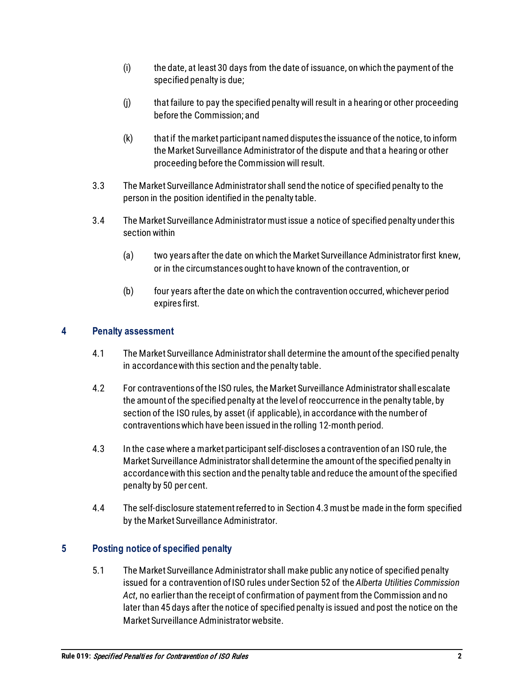- (i) the date, at least 30 days from the date of issuance, on which the payment of the specified penalty is due;
- (j) that failure to pay the specified penalty will result in a hearing or other proceeding before the Commission; and
- (k) that if the market participant named disputes the issuance of the notice, to inform the Market Surveillance Administrator of the dispute and that a hearing or other proceeding before the Commission will result.
- 3.3 The Market Surveillance Administrator shall send the notice of specified penalty to the person in the position identified in the penalty table.
- 3.4 The Market Surveillance Administrator must issue a notice of specified penalty under this section within
	- (a) two years after the date on which the Market Surveillance Administrator first knew, or in the circumstances ought to have known of the contravention, or
	- (b) four years after the date on which the contravention occurred,whichever period expires first.

# <span id="page-3-0"></span>**4 Penalty assessment**

- 4.1 The Market Surveillance Administrator shall determine the amount of the specified penalty in accordance with this section and the penalty table.
- 4.2 For contraventions of the ISO rules, the Market Surveillance Administrator shall escalate the amount of the specified penalty at the level of reoccurrence in the penalty table, by section of the ISO rules, by asset (if applicable), in accordance with the number of contraventions which have been issued in the rolling 12-month period.
- 4.3 In the case where a market participant self-discloses a contravention of an ISO rule, the Market Surveillance Administrator shall determine the amount of the specified penalty in accordance with this section and the penalty table and reduce the amount of the specified penalty by 50 per cent.
- 4.4 The self-disclosure statement referred to in Section 4.3 must be made in the form specified by the Market Surveillance Administrator.

# <span id="page-3-1"></span>**5 Posting notice of specified penalty**

5.1 The Market Surveillance Administrator shall make public any notice of specified penalty issued for a contravention of ISO rules under Section 52 of the *Alberta Utilities Commission Act*, no earlier than the receipt of confirmation of payment from the Commission and no later than 45 days after the notice of specified penalty is issued and post the notice on the Market Surveillance Administrator website.